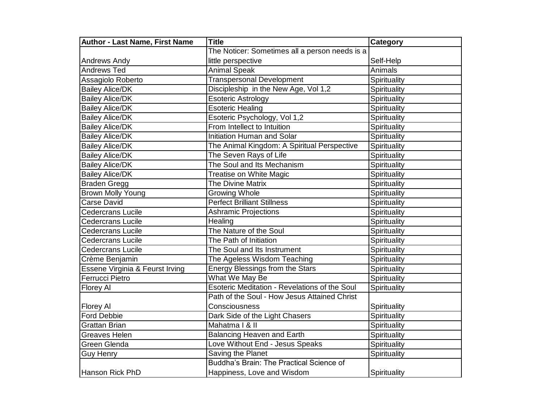| <b>Author - Last Name, First Name</b> | <b>Title</b>                                   | Category     |
|---------------------------------------|------------------------------------------------|--------------|
|                                       | The Noticer: Sometimes all a person needs is a |              |
| <b>Andrews Andy</b>                   | little perspective                             | Self-Help    |
| <b>Andrews Ted</b>                    | <b>Animal Speak</b>                            | Animals      |
| Assagiolo Roberto                     | <b>Transpersonal Development</b>               | Spirituality |
| <b>Bailey Alice/DK</b>                | Discipleship in the New Age, Vol 1,2           | Spirituality |
| <b>Bailey Alice/DK</b>                | <b>Esoteric Astrology</b>                      | Spirituality |
| <b>Bailey Alice/DK</b>                | <b>Esoteric Healing</b>                        | Spirituality |
| <b>Bailey Alice/DK</b>                | Esoteric Psychology, Vol 1,2                   | Spirituality |
| <b>Bailey Alice/DK</b>                | From Intellect to Intuition                    | Spirituality |
| <b>Bailey Alice/DK</b>                | Initiation Human and Solar                     | Spirituality |
| <b>Bailey Alice/DK</b>                | The Animal Kingdom: A Spiritual Perspective    | Spirituality |
| <b>Bailey Alice/DK</b>                | The Seven Rays of Life                         | Spirituality |
| <b>Bailey Alice/DK</b>                | The Soul and Its Mechanism                     | Spirituality |
| <b>Bailey Alice/DK</b>                | Treatise on White Magic                        | Spirituality |
| Braden Gregg                          | <b>The Divine Matrix</b>                       | Spirituality |
| Brown Molly Young                     | Growing Whole                                  | Spirituality |
| Carse David                           | <b>Perfect Brilliant Stillness</b>             | Spirituality |
| <b>Cedercrans Lucile</b>              | <b>Ashramic Projections</b>                    | Spirituality |
| <b>Cedercrans Lucile</b>              | Healing                                        | Spirituality |
| <b>Cedercrans Lucile</b>              | The Nature of the Soul                         | Spirituality |
| <b>Cedercrans Lucile</b>              | The Path of Initiation                         | Spirituality |
| <b>Cedercrans Lucile</b>              | The Soul and Its Instrument                    | Spirituality |
| Crème Benjamin                        | The Ageless Wisdom Teaching                    | Spirituality |
| Essene Virginia & Feurst Irving       | Energy Blessings from the Stars                | Spirituality |
| <b>Ferrucci Pietro</b>                | What We May Be                                 | Spirituality |
| Florey Al                             | Esoteric Meditation - Revelations of the Soul  | Spirituality |
|                                       | Path of the Soul - How Jesus Attained Christ   |              |
| Florey Al                             | Consciousness                                  | Spirituality |
| <b>Ford Debbie</b>                    | Dark Side of the Light Chasers                 | Spirituality |
| Grattan Brian                         | Mahatma   & II                                 | Spirituality |
| <b>Greaves Helen</b>                  | <b>Balancing Heaven and Earth</b>              | Spirituality |
| Green Glenda                          | Love Without End - Jesus Speaks                | Spirituality |
| <b>Guy Henry</b>                      | Saving the Planet                              | Spirituality |
|                                       | Buddha's Brain: The Practical Science of       |              |
| Hanson Rick PhD                       | Happiness, Love and Wisdom                     | Spirituality |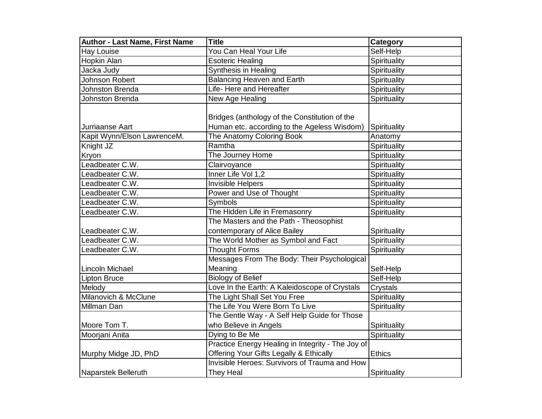| <b>Author - Last Name, First Name</b> | <b>Title</b>                                                                                 | <b>Category</b> |
|---------------------------------------|----------------------------------------------------------------------------------------------|-----------------|
| <b>Hay Louise</b>                     | You Can Heal Your Life                                                                       | Self-Help       |
| Hopkin Alan                           | <b>Esoteric Healing</b>                                                                      | Spirituality    |
| Jacka Judy                            | Synthesis in Healing                                                                         | Spirituality    |
| Johnson Robert                        | <b>Balancing Heaven and Earth</b>                                                            | Spirituality    |
| Johnston Brenda                       | Life- Here and Hereafter                                                                     | Spirituality    |
| Johnston Brenda                       | New Age Healing                                                                              | Spirituality    |
| <b>IJurriaanse Aart</b>               | Bridges (anthology of the Constitution of the<br>Human etc. according to the Ageless Wisdom) | Spirituality    |
| Kapit Wynn/Elson LawrenceM.           | The Anatomy Coloring Book                                                                    | Anatomy         |
| Knight JZ                             | Ramtha                                                                                       | Spirituality    |
| Kryon                                 | The Journey Home                                                                             | Spirituality    |
| Leadbeater C.W.                       | Clairvoyance                                                                                 | Spirituality    |
| Leadbeater C.W.                       | Inner Life Vol 1,2                                                                           | Spirituality    |
| Leadbeater C.W.                       | Invisible Helpers                                                                            | Spirituality    |
| Leadbeater C.W.                       | Power and Use of Thought                                                                     | Spirituality    |
| Leadbeater C.W.                       | Symbols                                                                                      | Spirituality    |
| Leadbeater C.W.                       | The Hidden Life in Fremasonry                                                                | Spirituality    |
|                                       | The Masters and the Path - Theosophist                                                       |                 |
| Leadbeater C.W.                       | contemporary of Alice Bailey                                                                 | Spirituality    |
| Leadbeater C.W.                       | The World Mother as Symbol and Fact                                                          | Spirituality    |
| Leadbeater C.W.                       | <b>Thought Forms</b>                                                                         | Spirituality    |
|                                       | Messages From The Body: Their Psychological                                                  |                 |
| Lincoln Michael                       | Meaning                                                                                      | Self-Help       |
| <b>Lipton Bruce</b>                   | <b>Biology of Belief</b>                                                                     | Self-Help       |
| Melody                                | Love In the Earth: A Kaleidoscope of Crystals                                                | Crystals        |
| Milanovich & McClune                  | The Light Shall Set You Free                                                                 | Spirituality    |
| Millman Dan                           | The Life You Were Born To Live                                                               | Spirituality    |
|                                       | The Gentle Way - A Self Help Guide for Those                                                 |                 |
| Moore Tom T.                          | who Believe in Angels                                                                        | Spirituality    |
| Moorjani Anita                        | Dying to Be Me                                                                               | Spirituality    |
|                                       | Practice Energy Healing in Integrity - The Joy of                                            |                 |
| Murphy Midge JD, PhD                  | Offering Your Gifts Legally & Ethically                                                      | <b>Ethics</b>   |
|                                       | Invisible Heroes: Survivors of Trauma and How                                                |                 |
| Naparstek Belleruth                   | They Heal                                                                                    | Spirituality    |